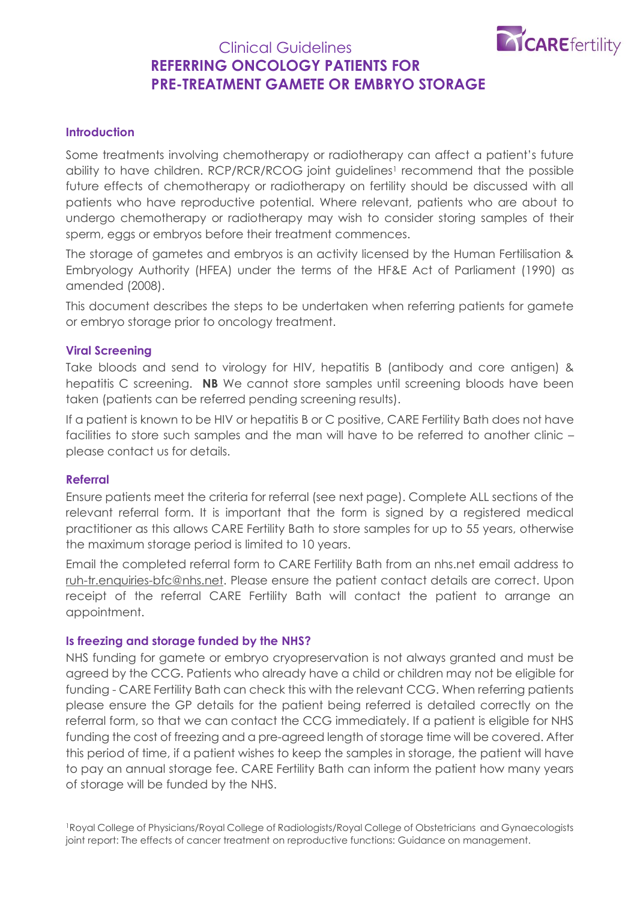

# Clinical Guidelines **REFERRING ONCOLOGY PATIENTS FOR PRE-TREATMENT GAMETE OR EMBRYO STORAGE**

## **Introduction**

Some treatments involving chemotherapy or radiotherapy can affect a patient's future ability to have children. RCP/RCR/RCOG joint guidelines<sup>1</sup> recommend that the possible future effects of chemotherapy or radiotherapy on fertility should be discussed with all patients who have reproductive potential. Where relevant, patients who are about to undergo chemotherapy or radiotherapy may wish to consider storing samples of their sperm, eggs or embryos before their treatment commences.

The storage of gametes and embryos is an activity licensed by the Human Fertilisation & Embryology Authority (HFEA) under the terms of the HF&E Act of Parliament (1990) as amended (2008).

This document describes the steps to be undertaken when referring patients for gamete or embryo storage prior to oncology treatment.

### **Viral Screening**

Take bloods and send to virology for HIV, hepatitis B (antibody and core antigen) & hepatitis C screening. **NB** We cannot store samples until screening bloods have been taken (patients can be referred pending screening results).

If a patient is known to be HIV or hepatitis B or C positive, CARE Fertility Bath does not have facilities to store such samples and the man will have to be referred to another clinic – please contact us for details.

#### **Referral**

Ensure patients meet the criteria for referral (see next page). Complete ALL sections of the relevant referral form. It is important that the form is signed by a registered medical practitioner as this allows CARE Fertility Bath to store samples for up to 55 years, otherwise the maximum storage period is limited to 10 years.

Email the completed referral form to CARE Fertility Bath from an nhs.net email address to [ruh-tr.enquiries-bfc@nhs.net.](mailto:ruh-tr.enquiries-bfc@nhs.net) Please ensure the patient contact details are correct. Upon receipt of the referral CARE Fertility Bath will contact the patient to arrange an appointment.

#### **Is freezing and storage funded by the NHS?**

NHS funding for gamete or embryo cryopreservation is not always granted and must be agreed by the CCG. Patients who already have a child or children may not be eligible for funding - CARE Fertility Bath can check this with the relevant CCG. When referring patients please ensure the GP details for the patient being referred is detailed correctly on the referral form, so that we can contact the CCG immediately. If a patient is eligible for NHS funding the cost of freezing and a pre-agreed length of storage time will be covered. After this period of time, if a patient wishes to keep the samples in storage, the patient will have to pay an annual storage fee. CARE Fertility Bath can inform the patient how many years of storage will be funded by the NHS.

<sup>1</sup>Royal College of Physicians/Royal College of Radiologists/Royal College of Obstetricians and Gynaecologists joint report: The effects of cancer treatment on reproductive functions: Guidance on management.